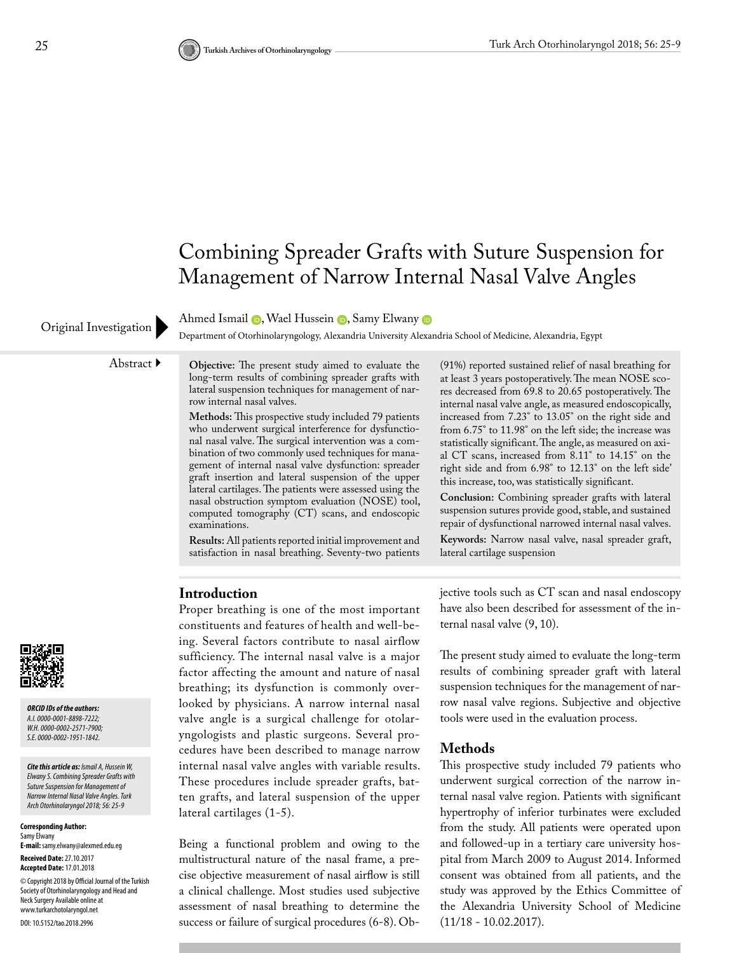## Combining Spreader Grafts with Suture Suspension for Management of Narrow Internal Nasal Valve Angles

Original Investigation Department of Otorhinolaryngology, Alexandria University Alexandria School of Medicine, Alexandria, Egypt

Abstract **Objective:** The present study aimed to evaluate the long-term results of combining spreader grafts with lateral suspension techniques for management of nar-

AhmedIsmail **D**, Wael Hussein **D**, Samy Elwany **D** 

**Methods:** This prospective study included 79 patients who underwent surgical interference for dysfunctional nasal valve. The surgical intervention was a combination of two commonly used techniques for management of internal nasal valve dysfunction: spreader graft insertion and lateral suspension of the upper lateral cartilages. The patients were assessed using the nasal obstruction symptom evaluation (NOSE) tool, computed tomography (CT) scans, and endoscopic examinations.

**Results:** All patients reported initial improvement and satisfaction in nasal breathing. Seventy-two patients

(91%) reported sustained relief of nasal breathing for at least 3 years postoperatively. The mean NOSE scores decreased from 69.8 to 20.65 postoperatively. The internal nasal valve angle, as measured endoscopically, increased from 7.23° to 13.05° on the right side and from 6.75° to 11.98° on the left side; the increase was statistically significant. The angle, as measured on axial CT scans, increased from 8.11° to 14.15° on the right side and from 6.98° to 12.13° on the left side' this increase, too, was statistically significant.

**Conclusion:** Combining spreader grafts with lateral suspension sutures provide good, stable, and sustained repair of dysfunctional narrowed internal nasal valves.

**Keywords:** Narrow nasal valve, nasal spreader graft, lateral cartilage suspension

#### **Introduction**

row internal nasal valves.

Proper breathing is one of the most important constituents and features of health and well-being. Several factors contribute to nasal airflow sufficiency. The internal nasal valve is a major factor affecting the amount and nature of nasal breathing; its dysfunction is commonly overlooked by physicians. A narrow internal nasal valve angle is a surgical challenge for otolaryngologists and plastic surgeons. Several procedures have been described to manage narrow internal nasal valve angles with variable results. These procedures include spreader grafts, batten grafts, and lateral suspension of the upper lateral cartilages (1-5).

Being a functional problem and owing to the multistructural nature of the nasal frame, a precise objective measurement of nasal airflow is still a clinical challenge. Most studies used subjective assessment of nasal breathing to determine the success or failure of surgical procedures (6-8). Objective tools such as CT scan and nasal endoscopy have also been described for assessment of the internal nasal valve (9, 10).

The present study aimed to evaluate the long-term results of combining spreader graft with lateral suspension techniques for the management of narrow nasal valve regions. Subjective and objective tools were used in the evaluation process.

#### **Methods**

This prospective study included 79 patients who underwent surgical correction of the narrow internal nasal valve region. Patients with significant hypertrophy of inferior turbinates were excluded from the study. All patients were operated upon and followed-up in a tertiary care university hospital from March 2009 to August 2014. Informed consent was obtained from all patients, and the study was approved by the Ethics Committee of the Alexandria University School of Medicine (11/18 - 10.02.2017).



*ORCID IDs of the authors: A.I. 0000-0001-8898-7222; W.H. 0000-0002-2571-7900; S.E. 0000-0002-1951-1842.*

*Cite this article as: Ismail A, Hussein W, Elwany S. Combining Spreader Grafts with Suture Suspension for Management of Narrow Internal Nasal Valve Angles. Turk Arch Otorhinolaryngol 2018; 56: 25-9*

**Corresponding Author:**  Samy Elwany **E-mail:** samy.elwany@alexmed.edu.eg **Received Date:** 27.10.2017 **Accepted Date:** 17.01.2018 © Copyright 2018 by Official Journal of the Turkish Society of Otorhinolaryngology and Head and Neck Surgery Available online at www.turkarchotolaryngol.net DOI: 10.5152/tao.2018.2996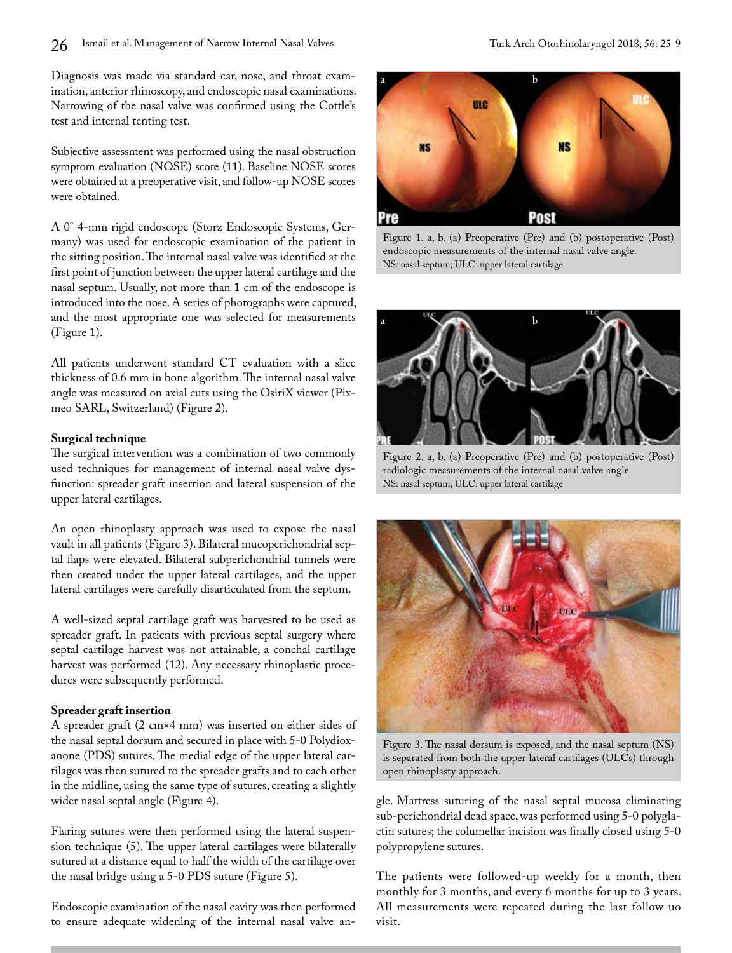Diagnosis was made via standard ear, nose, and throat examination, anterior rhinoscopy, and endoscopic nasal examinations. Narrowing of the nasal valve was confirmed using the Cottle's test and internal tenting test.

Subjective assessment was performed using the nasal obstruction symptom evaluation (NOSE) score (11). Baseline NOSE scores were obtained at a preoperative visit, and follow-up NOSE scores were obtained.

A 0° 4-mm rigid endoscope (Storz Endoscopic Systems, Germany) was used for endoscopic examination of the patient in the sitting position. The internal nasal valve was identified at the first point of junction between the upper lateral cartilage and the nasal septum. Usually, not more than 1 cm of the endoscope is introduced into the nose. A series of photographs were captured, and the most appropriate one was selected for measurements (Figure 1).

All patients underwent standard CT evaluation with a slice thickness of 0.6 mm in bone algorithm. The internal nasal valve angle was measured on axial cuts using the OsiriX viewer (Pixmeo SARL, Switzerland) (Figure 2).

#### **Surgical technique**

The surgical intervention was a combination of two commonly used techniques for management of internal nasal valve dysfunction: spreader graft insertion and lateral suspension of the upper lateral cartilages.

An open rhinoplasty approach was used to expose the nasal vault in all patients (Figure 3). Bilateral mucoperichondrial septal flaps were elevated. Bilateral subperichondrial tunnels were then created under the upper lateral cartilages, and the upper lateral cartilages were carefully disarticulated from the septum.

A well-sized septal cartilage graft was harvested to be used as spreader graft. In patients with previous septal surgery where septal cartilage harvest was not attainable, a conchal cartilage harvest was performed (12). Any necessary rhinoplastic procedures were subsequently performed.

## **Spreader graft insertion**

A spreader graft (2 cm×4 mm) was inserted on either sides of the nasal septal dorsum and secured in place with 5-0 Polydioxanone (PDS) sutures. The medial edge of the upper lateral cartilages was then sutured to the spreader grafts and to each other in the midline, using the same type of sutures, creating a slightly wider nasal septal angle (Figure 4).

Flaring sutures were then performed using the lateral suspension technique (5). The upper lateral cartilages were bilaterally sutured at a distance equal to half the width of the cartilage over the nasal bridge using a 5-0 PDS suture (Figure 5).

Endoscopic examination of the nasal cavity was then performed to ensure adequate widening of the internal nasal valve an-



Figure 1. a, b. (a) Preoperative (Pre) and (b) postoperative (Post) endoscopic measurements of the internal nasal valve angle. NS: nasal septum; ULC: upper lateral cartilage



Figure 2. a, b. (a) Preoperative (Pre) and (b) postoperative (Post) radiologic measurements of the internal nasal valve angle NS: nasal septum; ULC: upper lateral cartilage



Figure 3. The nasal dorsum is exposed, and the nasal septum (NS) is separated from both the upper lateral cartilages (ULCs) through open rhinoplasty approach.

gle. Mattress suturing of the nasal septal mucosa eliminating sub-perichondrial dead space, was performed using 5-0 polyglactin sutures; the columellar incision was finally closed using 5-0 polypropylene sutures.

The patients were followed-up weekly for a month, then monthly for 3 months, and every 6 months for up to 3 years. All measurements were repeated during the last follow uo visit.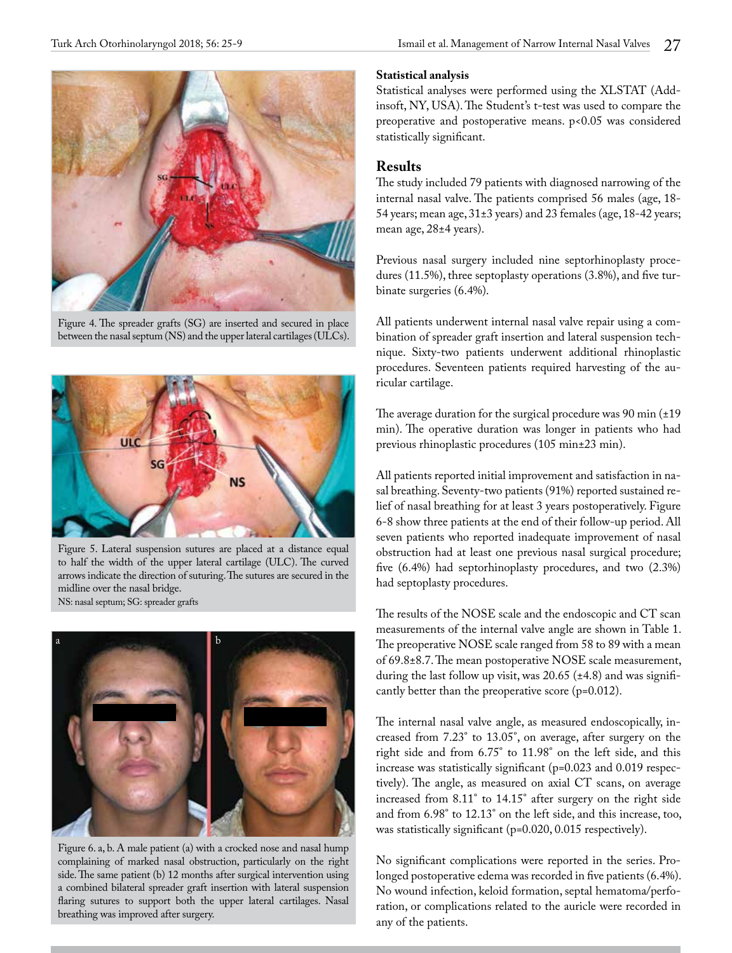

Figure 4. The spreader grafts (SG) are inserted and secured in place between the nasal septum (NS) and the upper lateral cartilages (ULCs).



Figure 5. Lateral suspension sutures are placed at a distance equal to half the width of the upper lateral cartilage (ULC). The curved arrows indicate the direction of suturing. The sutures are secured in the midline over the nasal bridge. NS: nasal septum; SG: spreader grafts



Figure 6. a, b. A male patient (a) with a crocked nose and nasal hump complaining of marked nasal obstruction, particularly on the right side. The same patient (b) 12 months after surgical intervention using a combined bilateral spreader graft insertion with lateral suspension flaring sutures to support both the upper lateral cartilages. Nasal breathing was improved after surgery.

#### **Statistical analysis**

Statistical analyses were performed using the XLSTAT (Addinsoft, NY, USA). The Student's t-test was used to compare the preoperative and postoperative means. p<0.05 was considered statistically significant.

## **Results**

The study included 79 patients with diagnosed narrowing of the internal nasal valve. The patients comprised 56 males (age, 18- 54 years; mean age, 31±3 years) and 23 females (age, 18-42 years; mean age, 28±4 years).

Previous nasal surgery included nine septorhinoplasty procedures (11.5%), three septoplasty operations (3.8%), and five turbinate surgeries (6.4%).

All patients underwent internal nasal valve repair using a combination of spreader graft insertion and lateral suspension technique. Sixty-two patients underwent additional rhinoplastic procedures. Seventeen patients required harvesting of the auricular cartilage.

The average duration for the surgical procedure was 90 min  $(\pm 19)$ min). The operative duration was longer in patients who had previous rhinoplastic procedures (105 min±23 min).

All patients reported initial improvement and satisfaction in nasal breathing. Seventy-two patients (91%) reported sustained relief of nasal breathing for at least 3 years postoperatively. Figure 6-8 show three patients at the end of their follow-up period. All seven patients who reported inadequate improvement of nasal obstruction had at least one previous nasal surgical procedure; five (6.4%) had septorhinoplasty procedures, and two (2.3%) had septoplasty procedures.

The results of the NOSE scale and the endoscopic and CT scan measurements of the internal valve angle are shown in Table 1. The preoperative NOSE scale ranged from 58 to 89 with a mean of 69.8±8.7. The mean postoperative NOSE scale measurement, during the last follow up visit, was 20.65 (±4.8) and was significantly better than the preoperative score (p=0.012).

The internal nasal valve angle, as measured endoscopically, increased from 7.23° to 13.05°, on average, after surgery on the right side and from 6.75° to 11.98° on the left side, and this increase was statistically significant (p=0.023 and 0.019 respectively). The angle, as measured on axial CT scans, on average increased from 8.11° to 14.15° after surgery on the right side and from 6.98° to 12.13° on the left side, and this increase, too, was statistically significant (p=0.020, 0.015 respectively).

No significant complications were reported in the series. Prolonged postoperative edema was recorded in five patients (6.4%). No wound infection, keloid formation, septal hematoma/perforation, or complications related to the auricle were recorded in any of the patients.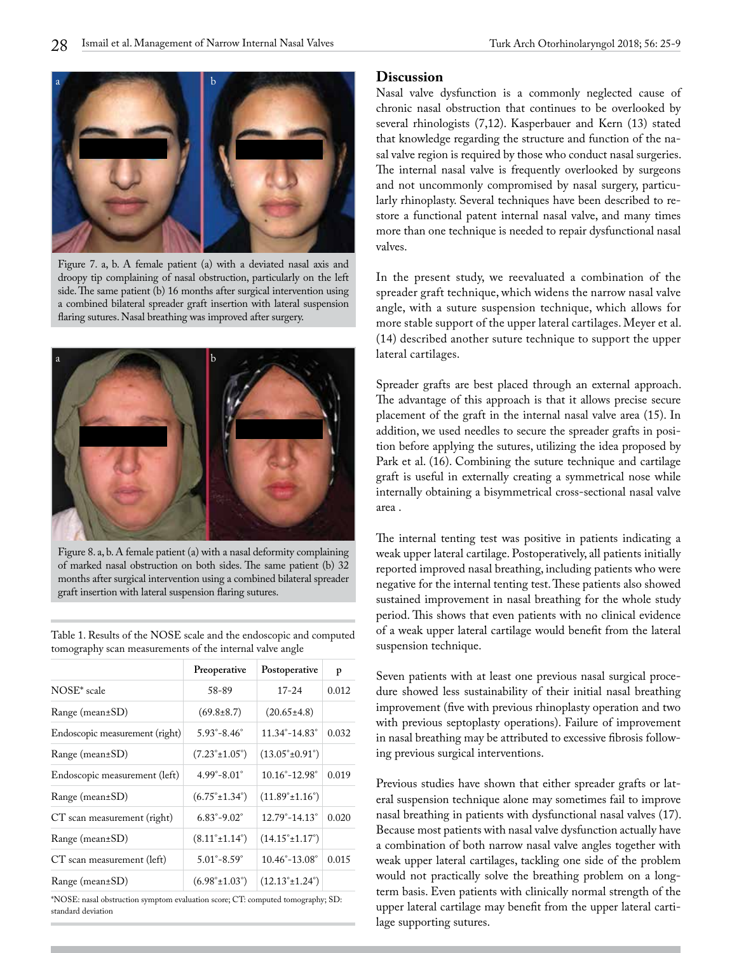

Figure 7. a, b. A female patient (a) with a deviated nasal axis and droopy tip complaining of nasal obstruction, particularly on the left side. The same patient (b) 16 months after surgical intervention using a combined bilateral spreader graft insertion with lateral suspension flaring sutures. Nasal breathing was improved after surgery.



Figure 8. a, b. A female patient (a) with a nasal deformity complaining of marked nasal obstruction on both sides. The same patient (b) 32 months after surgical intervention using a combined bilateral spreader graft insertion with lateral suspension flaring sutures.

Table 1. Results of the NOSE scale and the endoscopic and computed tomography scan measurements of the internal valve angle

|                                | Preoperative                      | Postoperative                      | p     |
|--------------------------------|-----------------------------------|------------------------------------|-------|
| NOSE* scale                    | 58-89                             | $17 - 24$                          | 0.012 |
| Range (mean±SD)                | $(69.8 \pm 8.7)$                  | $(20.65 \pm 4.8)$                  |       |
| Endoscopic measurement (right) | $5.93^{\circ} - 8.46^{\circ}$     | $11.34^{\circ} - 14.83^{\circ}$    | 0.032 |
| Range (mean±SD)                | $(7.23^{\circ} \pm 1.05^{\circ})$ | $(13.05^{\circ} \pm 0.91^{\circ})$ |       |
| Endoscopic measurement (left)  | $4.99^{\circ} - 8.01^{\circ}$     | $10.16^{\circ} - 12.98^{\circ}$    | 0.019 |
| Range (mean±SD)                | $(6.75^{\circ} \pm 1.34^{\circ})$ | $(11.89^{\circ} \pm 1.16^{\circ})$ |       |
| CT scan measurement (right)    | $6.83^{\circ} - 9.02^{\circ}$     | $12.79^{\circ} - 14.13^{\circ}$    | 0.020 |
| Range (mean±SD)                | $(8.11^{\circ} \pm 1.14^{\circ})$ | $(14.15^{\circ} \pm 1.17^{\circ})$ |       |
| CT scan measurement (left)     | $5.01^{\circ} - 8.59^{\circ}$     | $10.46^{\circ} - 13.08^{\circ}$    | 0.015 |
| $Range (mean \pm SD)$          | $(6.98^{\circ} \pm 1.03^{\circ})$ | $(12.13^{\circ} \pm 1.24^{\circ})$ |       |

\*NOSE: nasal obstruction symptom evaluation score; CT: computed tomography; SD: standard deviation

### **Discussion**

Nasal valve dysfunction is a commonly neglected cause of chronic nasal obstruction that continues to be overlooked by several rhinologists (7,12). Kasperbauer and Kern (13) stated that knowledge regarding the structure and function of the nasal valve region is required by those who conduct nasal surgeries. The internal nasal valve is frequently overlooked by surgeons and not uncommonly compromised by nasal surgery, particularly rhinoplasty. Several techniques have been described to restore a functional patent internal nasal valve, and many times more than one technique is needed to repair dysfunctional nasal valves.

In the present study, we reevaluated a combination of the spreader graft technique, which widens the narrow nasal valve angle, with a suture suspension technique, which allows for more stable support of the upper lateral cartilages. Meyer et al. (14) described another suture technique to support the upper lateral cartilages.

Spreader grafts are best placed through an external approach. The advantage of this approach is that it allows precise secure placement of the graft in the internal nasal valve area (15). In addition, we used needles to secure the spreader grafts in position before applying the sutures, utilizing the idea proposed by Park et al. (16). Combining the suture technique and cartilage graft is useful in externally creating a symmetrical nose while internally obtaining a bisymmetrical cross-sectional nasal valve area .

The internal tenting test was positive in patients indicating a weak upper lateral cartilage. Postoperatively, all patients initially reported improved nasal breathing, including patients who were negative for the internal tenting test. These patients also showed sustained improvement in nasal breathing for the whole study period. This shows that even patients with no clinical evidence of a weak upper lateral cartilage would benefit from the lateral suspension technique.

Seven patients with at least one previous nasal surgical procedure showed less sustainability of their initial nasal breathing improvement (five with previous rhinoplasty operation and two with previous septoplasty operations). Failure of improvement in nasal breathing may be attributed to excessive fibrosis following previous surgical interventions.

Previous studies have shown that either spreader grafts or lateral suspension technique alone may sometimes fail to improve nasal breathing in patients with dysfunctional nasal valves (17). Because most patients with nasal valve dysfunction actually have a combination of both narrow nasal valve angles together with weak upper lateral cartilages, tackling one side of the problem would not practically solve the breathing problem on a longterm basis. Even patients with clinically normal strength of the upper lateral cartilage may benefit from the upper lateral cartilage supporting sutures.